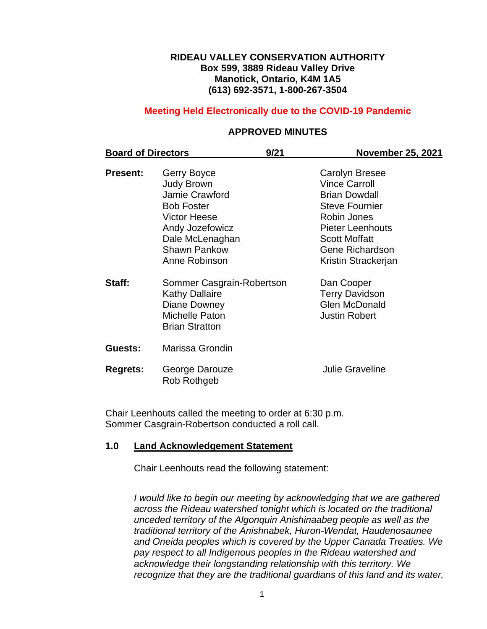#### **RIDEAU VALLEY CONSERVATION AUTHORITY Box 599, 3889 Rideau Valley Drive Manotick, Ontario, K4M 1A5 (613) 692-3571, 1-800-267-3504**

## **Meeting Held Electronically due to the COVID-19 Pandemic**

#### **APPROVED MINUTES**

| <b>Board of Directors</b> |                                                                                                                                                                              | 9/21 | <b>November 25, 2021</b>                                                                                                                                                                                   |
|---------------------------|------------------------------------------------------------------------------------------------------------------------------------------------------------------------------|------|------------------------------------------------------------------------------------------------------------------------------------------------------------------------------------------------------------|
| <b>Present:</b>           | Gerry Boyce<br><b>Judy Brown</b><br>Jamie Crawford<br><b>Bob Foster</b><br><b>Victor Heese</b><br>Andy Jozefowicz<br>Dale McLenaghan<br><b>Shawn Pankow</b><br>Anne Robinson |      | <b>Carolyn Bresee</b><br><b>Vince Carroll</b><br><b>Brian Dowdall</b><br><b>Steve Fournier</b><br>Robin Jones<br><b>Pieter Leenhouts</b><br><b>Scott Moffatt</b><br>Gene Richardson<br>Kristin Strackerjan |
| Staff:                    | Sommer Casgrain-Robertson<br><b>Kathy Dallaire</b><br>Diane Downey<br>Michelle Paton<br><b>Brian Stratton</b>                                                                |      | Dan Cooper<br><b>Terry Davidson</b><br><b>Glen McDonald</b><br><b>Justin Robert</b>                                                                                                                        |
| Guests:                   | Marissa Grondin                                                                                                                                                              |      |                                                                                                                                                                                                            |
| <b>Regrets:</b>           | George Darouze<br>Rob Rothgeb                                                                                                                                                |      | <b>Julie Graveline</b>                                                                                                                                                                                     |

Chair Leenhouts called the meeting to order at 6:30 p.m. Sommer Casgrain-Robertson conducted a roll call.

#### **1.0 Land Acknowledgement Statement**

Chair Leenhouts read the following statement:

*I would like to begin our meeting by acknowledging that we are gathered across the Rideau watershed tonight which is located on the traditional unceded territory of the Algonquin Anishinaabeg people as well as the traditional territory of the Anishnabek, Huron-Wendat, Haudenosaunee and Oneida peoples which is covered by the Upper Canada Treaties. We pay respect to all Indigenous peoples in the Rideau watershed and acknowledge their longstanding relationship with this territory. We recognize that they are the traditional guardians of this land and its water,*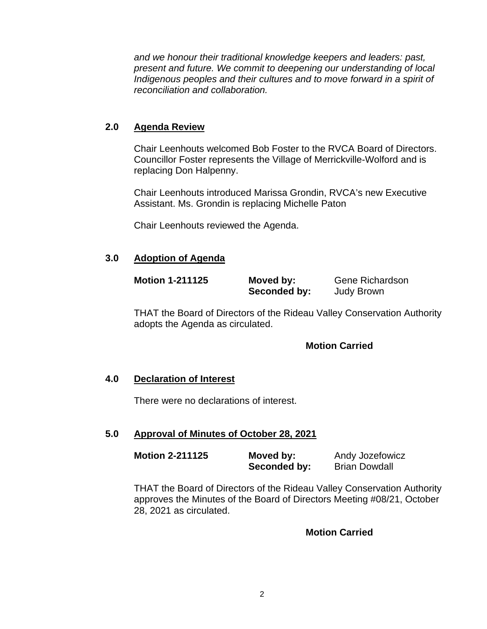*and we honour their traditional knowledge keepers and leaders: past, present and future. We commit to deepening our understanding of local Indigenous peoples and their cultures and to move forward in a spirit of reconciliation and collaboration.*

# **2.0 Agenda Review**

Chair Leenhouts welcomed Bob Foster to the RVCA Board of Directors. Councillor Foster represents the Village of Merrickville-Wolford and is replacing Don Halpenny.

Chair Leenhouts introduced Marissa Grondin, RVCA's new Executive Assistant. Ms. Grondin is replacing Michelle Paton

Chair Leenhouts reviewed the Agenda.

# **3.0 Adoption of Agenda**

| <b>Motion 1-211125</b> | Moved by:    | <b>Gene Richardson</b> |
|------------------------|--------------|------------------------|
|                        | Seconded by: | <b>Judy Brown</b>      |

THAT the Board of Directors of the Rideau Valley Conservation Authority adopts the Agenda as circulated.

## **Motion Carried**

## **4.0 Declaration of Interest**

There were no declarations of interest.

## **5.0 Approval of Minutes of October 28, 2021**

| <b>Motion 2-211125</b> | Moved by:    | Andy Jozefowicz      |
|------------------------|--------------|----------------------|
|                        | Seconded by: | <b>Brian Dowdall</b> |

THAT the Board of Directors of the Rideau Valley Conservation Authority approves the Minutes of the Board of Directors Meeting #08/21, October 28, 2021 as circulated.

## **Motion Carried**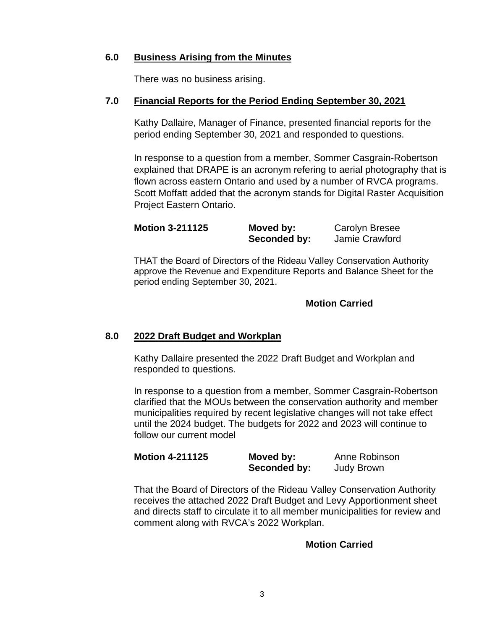## **6.0 Business Arising from the Minutes**

There was no business arising.

## **7.0 Financial Reports for the Period Ending September 30, 2021**

Kathy Dallaire, Manager of Finance, presented financial reports for the period ending September 30, 2021 and responded to questions.

In response to a question from a member, Sommer Casgrain-Robertson explained that DRAPE is an acronym refering to aerial photography that is flown across eastern Ontario and used by a number of RVCA programs. Scott Moffatt added that the acronym stands for Digital Raster Acquisition Project Eastern Ontario.

| <b>Motion 3-211125</b> | Moved by:    | <b>Carolyn Bresee</b> |
|------------------------|--------------|-----------------------|
|                        | Seconded by: | Jamie Crawford        |

THAT the Board of Directors of the Rideau Valley Conservation Authority approve the Revenue and Expenditure Reports and Balance Sheet for the period ending September 30, 2021.

## **Motion Carried**

## **8.0 2022 Draft Budget and Workplan**

Kathy Dallaire presented the 2022 Draft Budget and Workplan and responded to questions.

In response to a question from a member, Sommer Casgrain-Robertson clarified that the MOUs between the conservation authority and member municipalities required by recent legislative changes will not take effect until the 2024 budget. The budgets for 2022 and 2023 will continue to follow our current model

| <b>Motion 4-211125</b> | Moved by:    | Anne Robinson     |
|------------------------|--------------|-------------------|
|                        | Seconded by: | <b>Judy Brown</b> |

That the Board of Directors of the Rideau Valley Conservation Authority receives the attached 2022 Draft Budget and Levy Apportionment sheet and directs staff to circulate it to all member municipalities for review and comment along with RVCA's 2022 Workplan.

## **Motion Carried**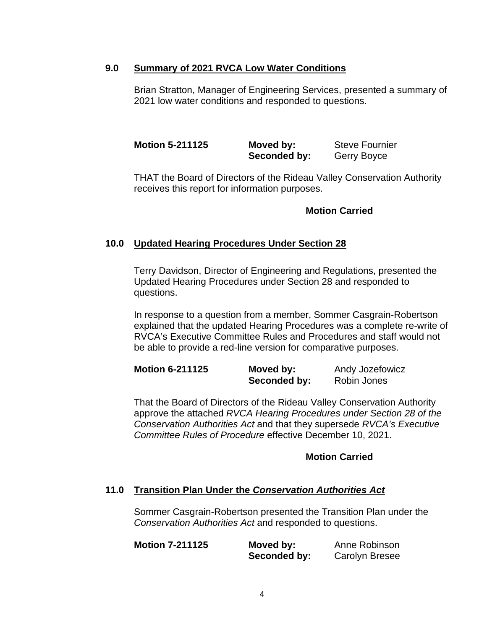### **9.0 Summary of 2021 RVCA Low Water Conditions**

Brian Stratton, Manager of Engineering Services, presented a summary of 2021 low water conditions and responded to questions.

**Motion 5-211125 Moved by:** Steve Fournier **Seconded by:** Gerry Boyce

THAT the Board of Directors of the Rideau Valley Conservation Authority receives this report for information purposes.

#### **Motion Carried**

## **10.0 Updated Hearing Procedures Under Section 28**

Terry Davidson, Director of Engineering and Regulations, presented the Updated Hearing Procedures under Section 28 and responded to questions.

In response to a question from a member, Sommer Casgrain-Robertson explained that the updated Hearing Procedures was a complete re-write of RVCA's Executive Committee Rules and Procedures and staff would not be able to provide a red-line version for comparative purposes.

| <b>Motion 6-211125</b> | Moved by:    | Andy Jozefowicz |
|------------------------|--------------|-----------------|
|                        | Seconded by: | Robin Jones     |

That the Board of Directors of the Rideau Valley Conservation Authority approve the attached *RVCA Hearing Procedures under Section 28 of the Conservation Authorities Act* and that they supersede *RVCA's Executive Committee Rules of Procedure* effective December 10, 2021.

#### **Motion Carried**

#### **11.0 Transition Plan Under the** *Conservation Authorities Act*

Sommer Casgrain-Robertson presented the Transition Plan under the *Conservation Authorities Act* and responded to questions.

| <b>Motion 7-211125</b> | Moved by:    | Anne Robinson         |
|------------------------|--------------|-----------------------|
|                        | Seconded by: | <b>Carolyn Bresee</b> |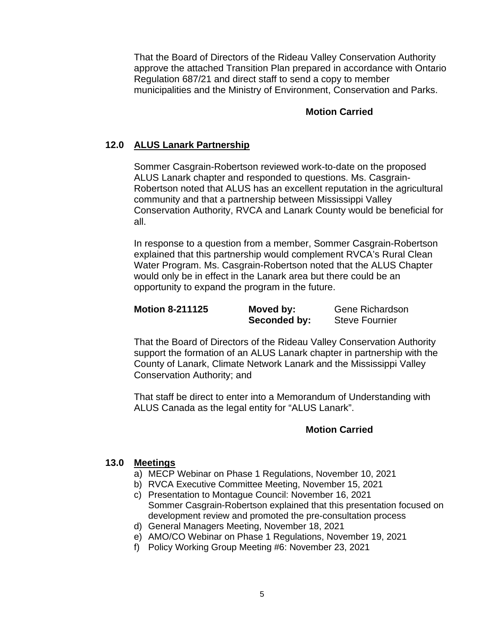That the Board of Directors of the Rideau Valley Conservation Authority approve the attached Transition Plan prepared in accordance with Ontario Regulation 687/21 and direct staff to send a copy to member municipalities and the Ministry of Environment, Conservation and Parks.

## **Motion Carried**

# **12.0 ALUS Lanark Partnership**

Sommer Casgrain-Robertson reviewed work-to-date on the proposed ALUS Lanark chapter and responded to questions. Ms. Casgrain-Robertson noted that ALUS has an excellent reputation in the agricultural community and that a partnership between Mississippi Valley Conservation Authority, RVCA and Lanark County would be beneficial for all.

In response to a question from a member, Sommer Casgrain-Robertson explained that this partnership would complement RVCA's Rural Clean Water Program. Ms. Casgrain-Robertson noted that the ALUS Chapter would only be in effect in the Lanark area but there could be an opportunity to expand the program in the future.

| <b>Motion 8-211125</b> | Moved by:    | <b>Gene Richardson</b> |
|------------------------|--------------|------------------------|
|                        | Seconded by: | <b>Steve Fournier</b>  |

That the Board of Directors of the Rideau Valley Conservation Authority support the formation of an ALUS Lanark chapter in partnership with the County of Lanark, Climate Network Lanark and the Mississippi Valley Conservation Authority; and

That staff be direct to enter into a Memorandum of Understanding with ALUS Canada as the legal entity for "ALUS Lanark".

# **Motion Carried**

## **13.0 Meetings**

- a) MECP Webinar on Phase 1 Regulations, November 10, 2021
- b) RVCA Executive Committee Meeting, November 15, 2021
- c) Presentation to Montague Council: November 16, 2021 Sommer Casgrain-Robertson explained that this presentation focused on development review and promoted the pre-consultation process
- d) General Managers Meeting, November 18, 2021
- e) AMO/CO Webinar on Phase 1 Regulations, November 19, 2021
- f) Policy Working Group Meeting #6: November 23, 2021